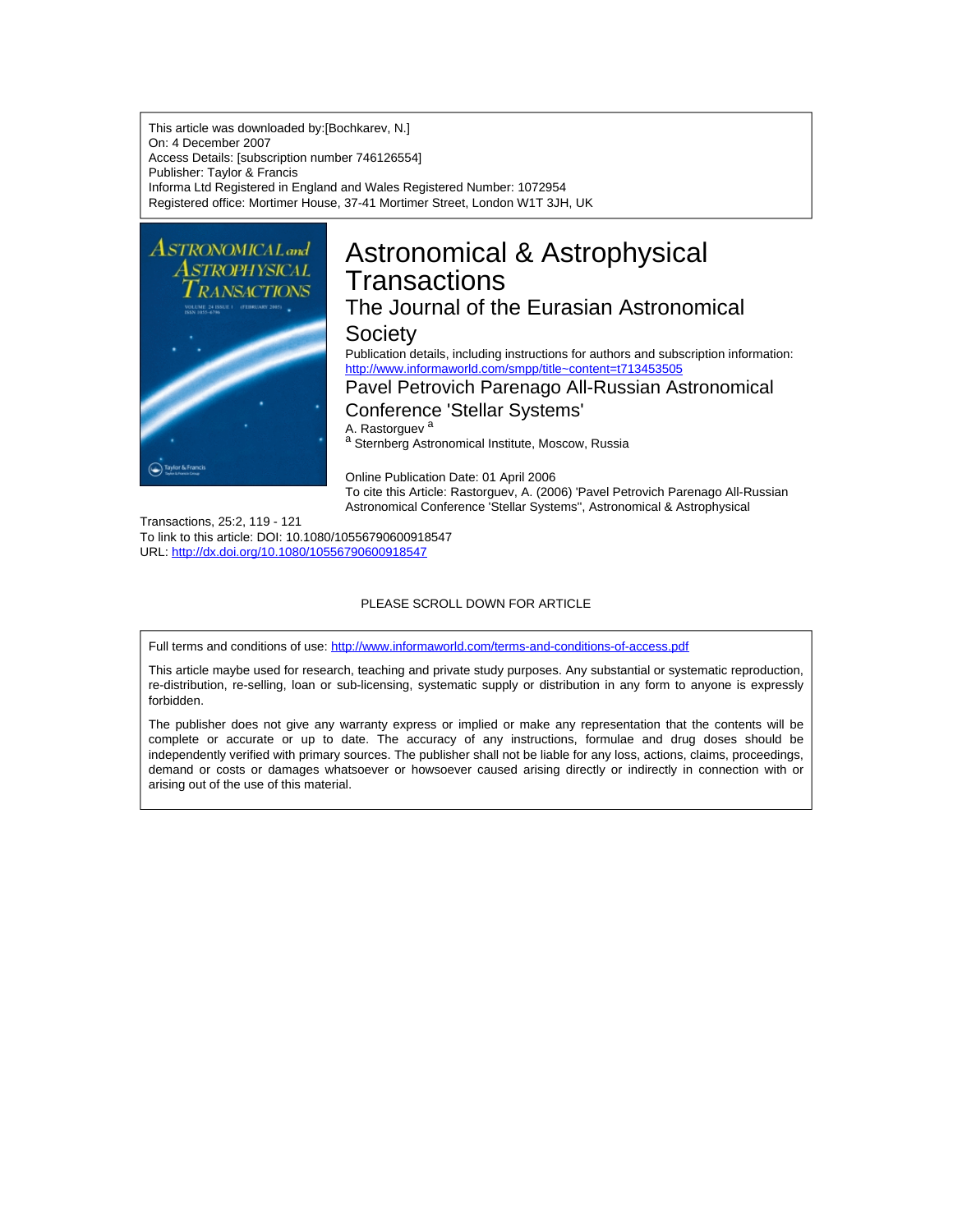This article was downloaded by:[Bochkarev, N.] On: 4 December 2007 Access Details: [subscription number 746126554] Publisher: Taylor & Francis Informa Ltd Registered in England and Wales Registered Number: 1072954 Registered office: Mortimer House, 37-41 Mortimer Street, London W1T 3JH, UK



# Astronomical & Astrophysical **Transactions**

## The Journal of the Eurasian Astronomical **Society**

Publication details, including instructions for authors and subscription information: <http://www.informaworld.com/smpp/title~content=t713453505>

### Pavel Petrovich Parenago All-Russian Astronomical Conference 'Stellar Systems'

A. Rastorguev<sup>a</sup>

a Sternberg Astronomical Institute, Moscow, Russia

Online Publication Date: 01 April 2006 To cite this Article: Rastorguev, A. (2006) 'Pavel Petrovich Parenago All-Russian Astronomical Conference 'Stellar Systems'', Astronomical & Astrophysical

Transactions, 25:2, 119 - 121

To link to this article: DOI: 10.1080/10556790600918547 URL: <http://dx.doi.org/10.1080/10556790600918547>

#### PLEASE SCROLL DOWN FOR ARTICLE

Full terms and conditions of use: <http://www.informaworld.com/terms-and-conditions-of-access.pdf>

This article maybe used for research, teaching and private study purposes. Any substantial or systematic reproduction, re-distribution, re-selling, loan or sub-licensing, systematic supply or distribution in any form to anyone is expressly forbidden.

The publisher does not give any warranty express or implied or make any representation that the contents will be complete or accurate or up to date. The accuracy of any instructions, formulae and drug doses should be independently verified with primary sources. The publisher shall not be liable for any loss, actions, claims, proceedings, demand or costs or damages whatsoever or howsoever caused arising directly or indirectly in connection with or arising out of the use of this material.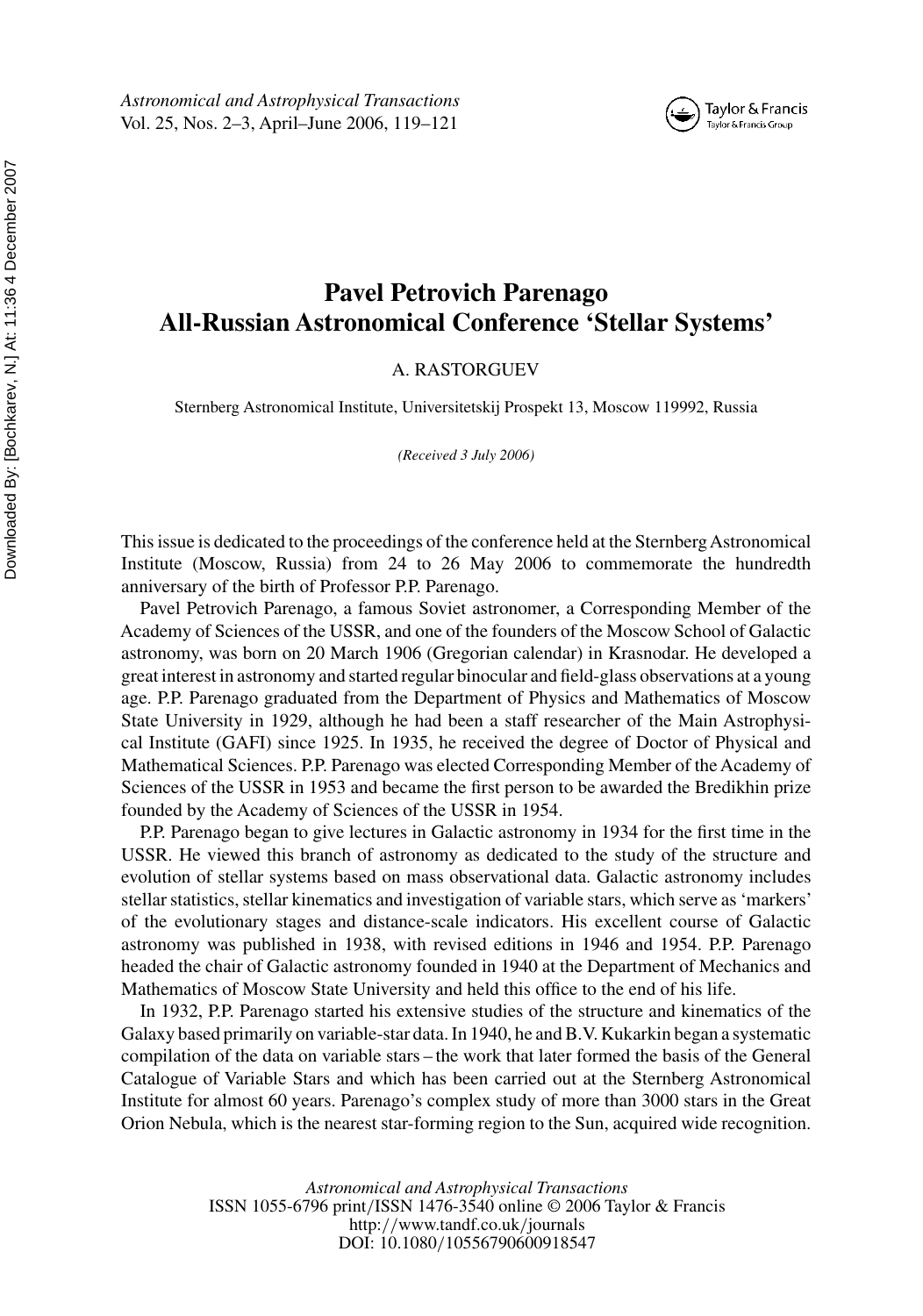# **Pavel Petrovich Parenago**

Taylor & Francis Taylor & Francis Group

**All-Russian Astronomical Conference 'Stellar Systems'**

#### A. RASTORGUEV

Sternberg Astronomical Institute, Universitetskij Prospekt 13, Moscow 119992, Russia

*(Received 3 July 2006)*

This issue is dedicated to the proceedings of the conference held at the Sternberg Astronomical Institute (Moscow, Russia) from 24 to 26 May 2006 to commemorate the hundredth anniversary of the birth of Professor P.P. Parenago.

Pavel Petrovich Parenago, a famous Soviet astronomer, a Corresponding Member of the Academy of Sciences of the USSR, and one of the founders of the Moscow School of Galactic astronomy, was born on 20 March 1906 (Gregorian calendar) in Krasnodar. He developed a great interest in astronomy and started regular binocular and field-glass observations at a young age. P.P. Parenago graduated from the Department of Physics and Mathematics of Moscow State University in 1929, although he had been a staff researcher of the Main Astrophysical Institute (GAFI) since 1925. In 1935, he received the degree of Doctor of Physical and Mathematical Sciences. P.P. Parenago was elected Corresponding Member of the Academy of Sciences of the USSR in 1953 and became the first person to be awarded the Bredikhin prize founded by the Academy of Sciences of the USSR in 1954.

P.P. Parenago began to give lectures in Galactic astronomy in 1934 for the first time in the USSR. He viewed this branch of astronomy as dedicated to the study of the structure and evolution of stellar systems based on mass observational data. Galactic astronomy includes stellar statistics, stellar kinematics and investigation of variable stars, which serve as 'markers' of the evolutionary stages and distance-scale indicators. His excellent course of Galactic astronomy was published in 1938, with revised editions in 1946 and 1954. P.P. Parenago headed the chair of Galactic astronomy founded in 1940 at the Department of Mechanics and Mathematics of Moscow State University and held this office to the end of his life.

In 1932, P.P. Parenago started his extensive studies of the structure and kinematics of the Galaxy based primarily on variable-star data. In 1940, he and B.V. Kukarkin began a systematic compilation of the data on variable stars – the work that later formed the basis of the General Catalogue of Variable Stars and which has been carried out at the Sternberg Astronomical Institute for almost 60 years. Parenago's complex study of more than 3000 stars in the Great Orion Nebula, which is the nearest star-forming region to the Sun, acquired wide recognition.

> *Astronomical and Astrophysical Transactions* ISSN 1055-6796 print*/*ISSN 1476-3540 online © 2006 Taylor & Francis http:*//*www.tandf.co.uk*/*journals DOI: 10.1080*/*10556790600918547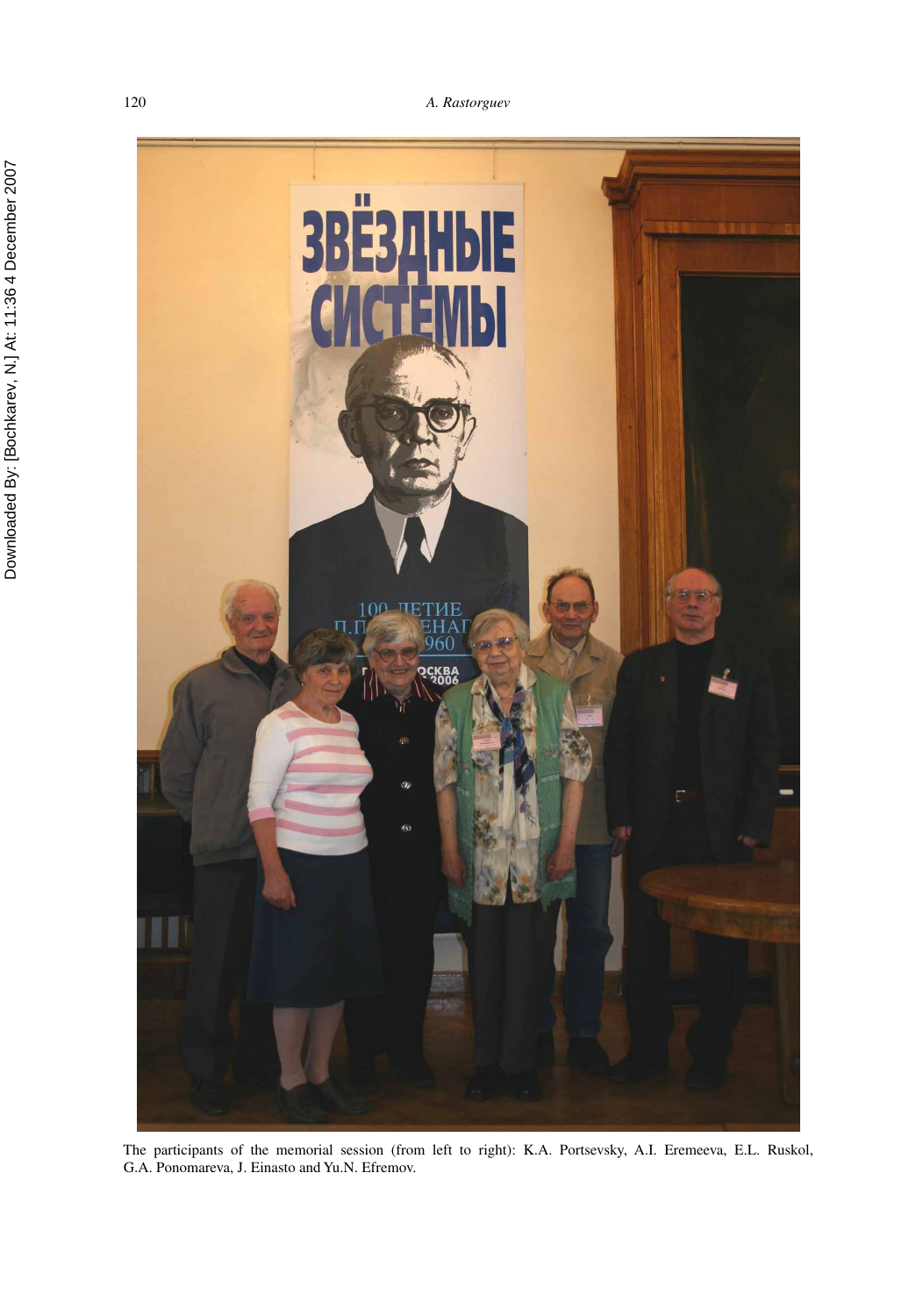#### 120 *A. Rastorguev*



The participants of the memorial session (from left to right): K.A. Portsevsky, A.I. Eremeeva, E.L. Ruskol, G.A. Ponomareva, J. Einasto and Yu.N. Efremov.